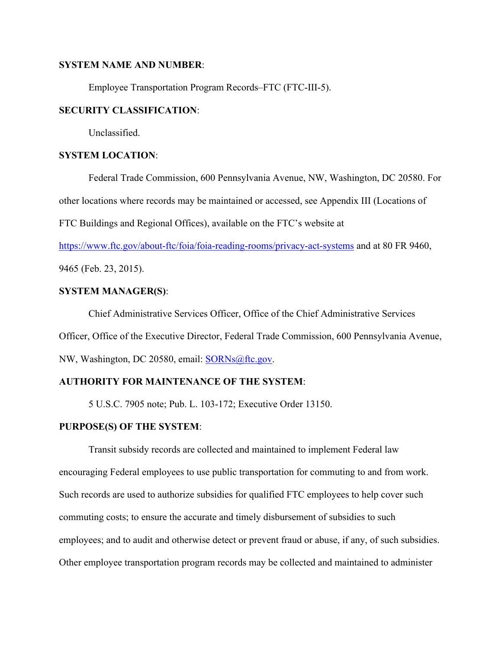### **SYSTEM NAME AND NUMBER**:

Employee Transportation Program Records–FTC (FTC-III-5).

## **SECURITY CLASSIFICATION**:

Unclassified.

## **SYSTEM LOCATION**:

Federal Trade Commission, 600 Pennsylvania Avenue, NW, Washington, DC 20580. For other locations where records may be maintained or accessed, see Appendix III (Locations of FTC Buildings and Regional Offices), available on the FTC's website at

https://www.ftc.gov/about-ftc/foia/foia-reading-rooms/privacy-act-systems and at 80 FR 9460,

9465 (Feb. 23, 2015).

# **SYSTEM MANAGER(S)**:

Chief Administrative Services Officer, Office of the Chief Administrative Services Officer, Office of the Executive Director, Federal Trade Commission, 600 Pennsylvania Avenue, NW, Washington, DC 20580, email: SORNs@ftc.gov.

# **AUTHORITY FOR MAINTENANCE OF THE SYSTEM**:

5 U.S.C. 7905 note; Pub. L. 103-172; Executive Order 13150.

## **PURPOSE(S) OF THE SYSTEM**:

Transit subsidy records are collected and maintained to implement Federal law encouraging Federal employees to use public transportation for commuting to and from work. Such records are used to authorize subsidies for qualified FTC employees to help cover such commuting costs; to ensure the accurate and timely disbursement of subsidies to such employees; and to audit and otherwise detect or prevent fraud or abuse, if any, of such subsidies. Other employee transportation program records may be collected and maintained to administer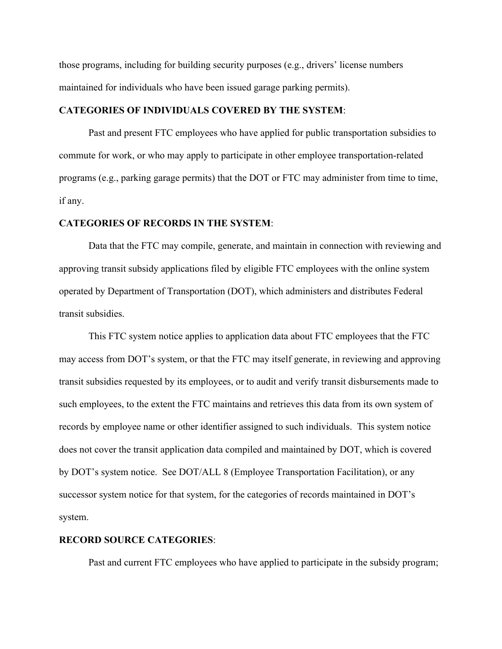those programs, including for building security purposes (e.g., drivers' license numbers maintained for individuals who have been issued garage parking permits).

#### **CATEGORIES OF INDIVIDUALS COVERED BY THE SYSTEM**:

Past and present FTC employees who have applied for public transportation subsidies to commute for work, or who may apply to participate in other employee transportation-related programs (e.g., parking garage permits) that the DOT or FTC may administer from time to time, if any.

#### **CATEGORIES OF RECORDS IN THE SYSTEM**:

Data that the FTC may compile, generate, and maintain in connection with reviewing and approving transit subsidy applications filed by eligible FTC employees with the online system operated by Department of Transportation (DOT), which administers and distributes Federal transit subsidies.

This FTC system notice applies to application data about FTC employees that the FTC may access from DOT's system, or that the FTC may itself generate, in reviewing and approving transit subsidies requested by its employees, or to audit and verify transit disbursements made to such employees, to the extent the FTC maintains and retrieves this data from its own system of records by employee name or other identifier assigned to such individuals. This system notice does not cover the transit application data compiled and maintained by DOT, which is covered by DOT's system notice. See DOT/ALL 8 (Employee Transportation Facilitation), or any successor system notice for that system, for the categories of records maintained in DOT's system.

## **RECORD SOURCE CATEGORIES**:

Past and current FTC employees who have applied to participate in the subsidy program;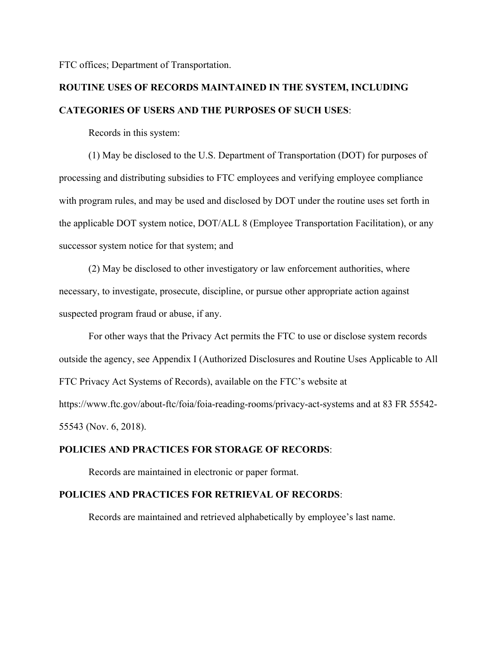FTC offices; Department of Transportation.

# **ROUTINE USES OF RECORDS MAINTAINED IN THE SYSTEM, INCLUDING CATEGORIES OF USERS AND THE PURPOSES OF SUCH USES**:

Records in this system:

 (1) May be disclosed to the U.S. Department of Transportation (DOT) for purposes of processing and distributing subsidies to FTC employees and verifying employee compliance with program rules, and may be used and disclosed by DOT under the routine uses set forth in the applicable DOT system notice, DOT/ALL 8 (Employee Transportation Facilitation), or any successor system notice for that system; and

 (2) May be disclosed to other investigatory or law enforcement authorities, where necessary, to investigate, prosecute, discipline, or pursue other appropriate action against suspected program fraud or abuse, if any.

 For other ways that the Privacy Act permits the FTC to use or disclose system records outside the agency, see Appendix I (Authorized Disclosures and Routine Uses Applicable to All FTC Privacy Act Systems of Records), available on the FTC's website at https://www.ftc.gov/about-ftc/foia/foia-reading-rooms/privacy-act-systems and at 83 FR 55542- 55543 (Nov. 6, 2018).

#### **POLICIES AND PRACTICES FOR STORAGE OF RECORDS**:

Records are maintained in electronic or paper format.

#### **POLICIES AND PRACTICES FOR RETRIEVAL OF RECORDS**:

Records are maintained and retrieved alphabetically by employee's last name.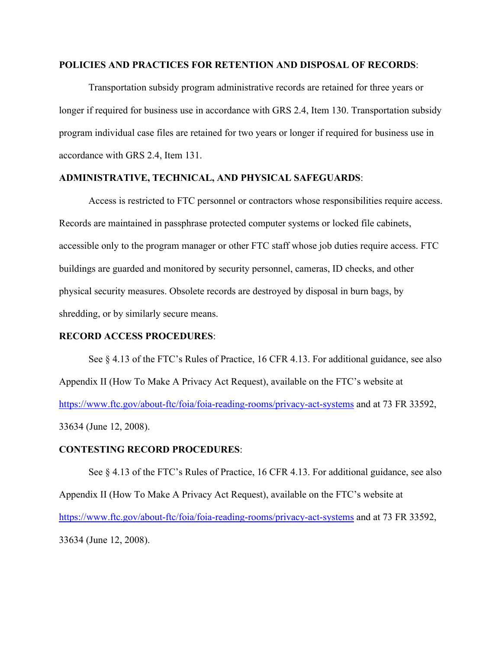#### **POLICIES AND PRACTICES FOR RETENTION AND DISPOSAL OF RECORDS**:

 Transportation subsidy program administrative records are retained for three years or longer if required for business use in accordance with GRS 2.4, Item 130. Transportation subsidy program individual case files are retained for two years or longer if required for business use in accordance with GRS 2.4, Item 131.

## **ADMINISTRATIVE, TECHNICAL, AND PHYSICAL SAFEGUARDS**:

Access is restricted to FTC personnel or contractors whose responsibilities require access. Records are maintained in passphrase protected computer systems or locked file cabinets, accessible only to the program manager or other FTC staff whose job duties require access. FTC buildings are guarded and monitored by security personnel, cameras, ID checks, and other physical security measures. Obsolete records are destroyed by disposal in burn bags, by shredding, or by similarly secure means.

#### **RECORD ACCESS PROCEDURES**:

 See § 4.13 of the FTC's Rules of Practice, 16 CFR 4.13. For additional guidance, see also Appendix II (How To Make A Privacy Act Request), available on the FTC's website at https://www.ftc.gov/about-ftc/foia/foia-reading-rooms/privacy-act-systems and at 73 FR 33592, 33634 (June 12, 2008).

#### **CONTESTING RECORD PROCEDURES**:

See  $\S 4.13$  of the FTC's Rules of Practice, 16 CFR 4.13. For additional guidance, see also Appendix II (How To Make A Privacy Act Request), available on the FTC's website at https://www.ftc.gov/about-ftc/foia/foia-reading-rooms/privacy-act-systems and at 73 FR 33592, 33634 (June 12, 2008).